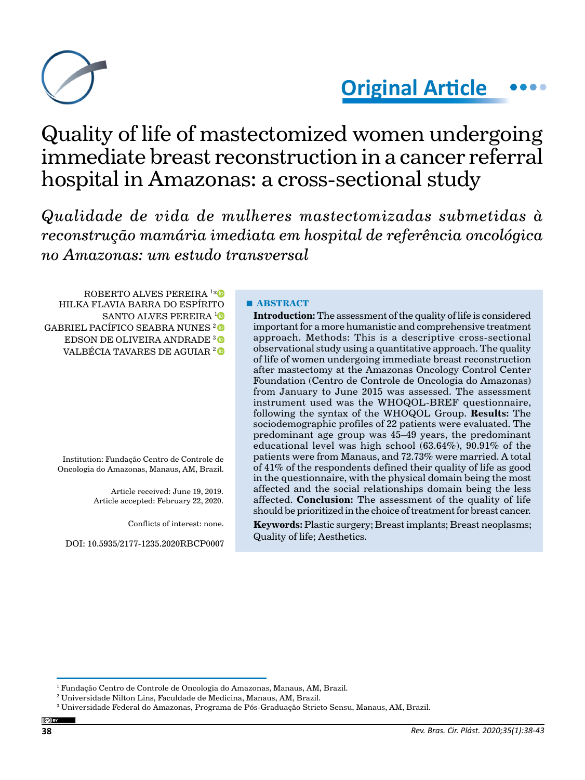

# **Original Article**

# Quality of life of mastectomized women undergoing immediate breast reconstruction in a cancer referral hospital in Amazonas: a cross-sectional study

*Qualidade de vida de mulheres mastectomizadas submetidas à reconstrução mamária imediata em hospital de referência oncológica no Amazonas: um estudo transversal*

ROBERTO ALVES PEREIRA 1 [\\*](https://orcid.org/0000-0003-3106-3760) HILKA FLAVIA BARRA DO ESPÍRITO SANTO ALVES PEREIRA <sup>[1](https://orcid.org/0000-0002-8028-3199)</sup><sup>0</sup> GABRIEL PACÍFICO SEABRA NUNES<sup>2</sup> EDSON DE OLIVEIRA ANDRADE<sup>3</sup> VALBÉCIA TAVARES DE AGUIAR [2](https://orcid.org/0000-0002-5612-9837) 

Institution: Fundação Centro de Controle de Oncologia do Amazonas, Manaus, AM, Brazil.

> Article received: June 19, 2019. Article accepted: February 22, 2020.

> > Conflicts of interest: none.

DOI: 10.5935/2177-1235.2020RBCP0007

### **■ ABSTRACT**

**Introduction:** The assessment of the quality of life is considered important for a more humanistic and comprehensive treatment approach. Methods: This is a descriptive cross-sectional observational study using a quantitative approach. The quality of life of women undergoing immediate breast reconstruction after mastectomy at the Amazonas Oncology Control Center Foundation (Centro de Controle de Oncologia do Amazonas) from January to June 2015 was assessed. The assessment instrument used was the WHOQOL-BREF questionnaire, following the syntax of the WHOQOL Group. **Results:** The sociodemographic profiles of 22 patients were evaluated. The predominant age group was 45–49 years, the predominant educational level was high school (63.64%), 90.91% of the patients were from Manaus, and 72.73% were married. A total of 41% of the respondents defined their quality of life as good in the questionnaire, with the physical domain being the most affected and the social relationships domain being the less affected. **Conclusion:** The assessment of the quality of life should be prioritized in the choice of treatment for breast cancer.

**Keywords:** Plastic surgery; Breast implants; Breast neoplasms; Quality of life; Aesthetics.

<sup>&</sup>lt;sup>1</sup> Fundação Centro de Controle de Oncologia do Amazonas, Manaus, AM, Brazil.

<sup>2</sup> Universidade Nilton Lins, Faculdade de Medicina, Manaus, AM, Brazil.

<sup>3</sup> Universidade Federal do Amazonas, Programa de Pós-Graduação Stricto Sensu, Manaus, AM, Brazil.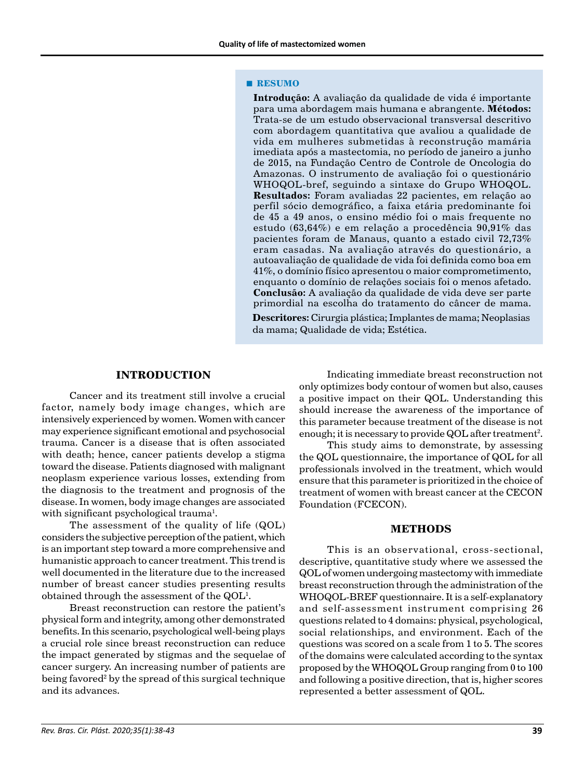#### **■ RESUMO**

**Introdução:** A avaliação da qualidade de vida é importante para uma abordagem mais humana e abrangente. **Métodos:**  Trata-se de um estudo observacional transversal descritivo com abordagem quantitativa que avaliou a qualidade de vida em mulheres submetidas à reconstrução mamária imediata após a mastectomia, no período de janeiro a junho de 2015, na Fundação Centro de Controle de Oncologia do Amazonas. O instrumento de avaliação foi o questionário WHOQOL-bref, seguindo a sintaxe do Grupo WHOQOL. **Resultados:** Foram avaliadas 22 pacientes, em relação ao perfil sócio demográfico, a faixa etária predominante foi de 45 a 49 anos, o ensino médio foi o mais frequente no estudo (63,64%) e em relação a procedência 90,91% das pacientes foram de Manaus, quanto a estado civil 72,73% eram casadas. Na avaliação através do questionário, a autoavaliação de qualidade de vida foi definida como boa em 41%, o domínio físico apresentou o maior comprometimento, enquanto o domínio de relações sociais foi o menos afetado. **Conclusão:** A avaliação da qualidade de vida deve ser parte primordial na escolha do tratamento do câncer de mama.

**Descritores:** Cirurgia plástica; Implantes de mama; Neoplasias da mama; Qualidade de vida; Estética.

### **INTRODUCTION**

Cancer and its treatment still involve a crucial factor, namely body image changes, which are intensively experienced by women. Women with cancer may experience significant emotional and psychosocial trauma. Cancer is a disease that is often associated with death; hence, cancer patients develop a stigma toward the disease. Patients diagnosed with malignant neoplasm experience various losses, extending from the diagnosis to the treatment and prognosis of the disease. In women, body image changes are associated with significant psychological trauma $^{\rm l}$ .

The assessment of the quality of life (QOL) considers the subjective perception of the patient, which is an important step toward a more comprehensive and humanistic approach to cancer treatment. This trend is well documented in the literature due to the increased number of breast cancer studies presenting results obtained through the assessment of the  $\rm QOL^1$ .

Breast reconstruction can restore the patient's physical form and integrity, among other demonstrated benefits. In this scenario, psychological well-being plays a crucial role since breast reconstruction can reduce the impact generated by stigmas and the sequelae of cancer surgery. An increasing number of patients are being favored<sup>2</sup> by the spread of this surgical technique and its advances.

Indicating immediate breast reconstruction not only optimizes body contour of women but also, causes a positive impact on their QOL. Understanding this should increase the awareness of the importance of this parameter because treatment of the disease is not enough; it is necessary to provide QOL after treatment<sup>2</sup>.

This study aims to demonstrate, by assessing the QOL questionnaire, the importance of QOL for all professionals involved in the treatment, which would ensure that this parameter is prioritized in the choice of treatment of women with breast cancer at the CECON Foundation (FCECON).

### **METHODS**

This is an observational, cross-sectional, descriptive, quantitative study where we assessed the QOL of women undergoing mastectomy with immediate breast reconstruction through the administration of the WHOQOL-BREF questionnaire. It is a self-explanatory and self-assessment instrument comprising 26 questions related to 4 domains: physical, psychological, social relationships, and environment. Each of the questions was scored on a scale from 1 to 5. The scores of the domains were calculated according to the syntax proposed by the WHOQOL Group ranging from 0 to 100 and following a positive direction, that is, higher scores represented a better assessment of QOL.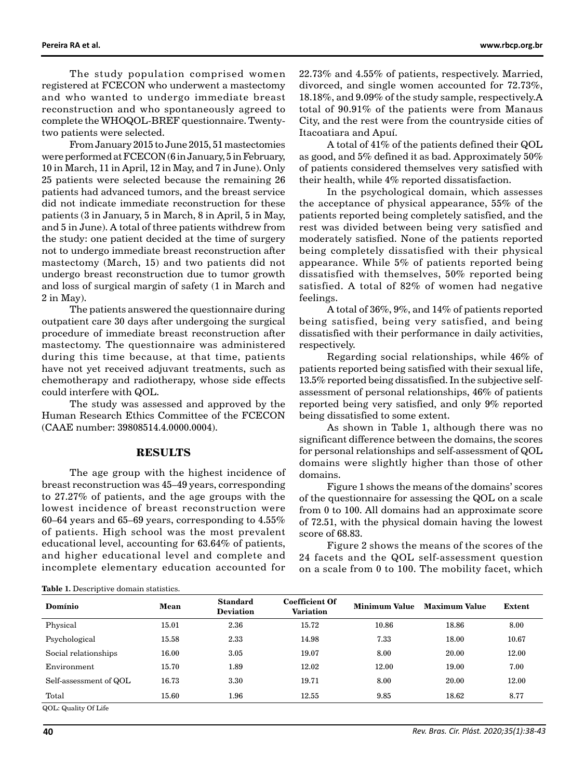The study population comprised women registered at FCECON who underwent a mastectomy and who wanted to undergo immediate breast reconstruction and who spontaneously agreed to complete the WHOQOL-BREF questionnaire. Twentytwo patients were selected.

From January 2015 to June 2015, 51 mastectomies were performed at FCECON (6 in January, 5 in February, 10 in March, 11 in April, 12 in May, and 7 in June). Only 25 patients were selected because the remaining 26 patients had advanced tumors, and the breast service did not indicate immediate reconstruction for these patients (3 in January, 5 in March, 8 in April, 5 in May, and 5 in June). A total of three patients withdrew from the study: one patient decided at the time of surgery not to undergo immediate breast reconstruction after mastectomy (March, 15) and two patients did not undergo breast reconstruction due to tumor growth and loss of surgical margin of safety (1 in March and 2 in May).

The patients answered the questionnaire during outpatient care 30 days after undergoing the surgical procedure of immediate breast reconstruction after mastectomy. The questionnaire was administered during this time because, at that time, patients have not yet received adjuvant treatments, such as chemotherapy and radiotherapy, whose side effects could interfere with QOL.

The study was assessed and approved by the Human Research Ethics Committee of the FCECON (CAAE number: 39808514.4.0000.0004).

### **RESULTS**

The age group with the highest incidence of breast reconstruction was 45–49 years, corresponding to 27.27% of patients, and the age groups with the lowest incidence of breast reconstruction were 60–64 years and 65–69 years, corresponding to  $4.55\%$ of patients. High school was the most prevalent educational level, accounting for 63.64% of patients, and higher educational level and complete and incomplete elementary education accounted for 22.73% and 4.55% of patients, respectively. Married, divorced, and single women accounted for 72.73%, 18.18%, and 9.09% of the study sample, respectively.A total of 90.91% of the patients were from Manaus City, and the rest were from the countryside cities of Itacoatiara and Apuí.

A total of 41% of the patients defined their QOL as good, and 5% defined it as bad. Approximately 50% of patients considered themselves very satisfied with their health, while 4% reported dissatisfaction.

In the psychological domain, which assesses the acceptance of physical appearance, 55% of the patients reported being completely satisfied, and the rest was divided between being very satisfied and moderately satisfied. None of the patients reported being completely dissatisfied with their physical appearance. While 5% of patients reported being dissatisfied with themselves, 50% reported being satisfied. A total of 82% of women had negative feelings.

A total of 36%, 9%, and 14% of patients reported being satisfied, being very satisfied, and being dissatisfied with their performance in daily activities, respectively.

Regarding social relationships, while 46% of patients reported being satisfied with their sexual life, 13.5% reported being dissatisfied. In the subjective selfassessment of personal relationships, 46% of patients reported being very satisfied, and only 9% reported being dissatisfied to some extent.

As shown in Table 1, although there was no significant difference between the domains, the scores for personal relationships and self-assessment of QOL domains were slightly higher than those of other domains.

Figure 1 shows the means of the domains' scores of the questionnaire for assessing the QOL on a scale from 0 to 100. All domains had an approximate score of 72.51, with the physical domain having the lowest score of 68.83.

Figure 2 shows the means of the scores of the 24 facets and the QOL self-assessment question on a scale from 0 to 100. The mobility facet, which

| Mean  | <b>Standard</b><br><b>Deviation</b> | <b>Coefficient Of</b><br><b>Variation</b> | <b>Minimum Value</b> | <b>Maximum Value</b> | Extent |
|-------|-------------------------------------|-------------------------------------------|----------------------|----------------------|--------|
| 15.01 | 2.36                                | 15.72                                     | 10.86                | 18.86                | 8.00   |
| 15.58 | 2.33                                | 14.98                                     | 7.33                 | 18.00                | 10.67  |
| 16.00 | 3.05                                | 19.07                                     | 8.00                 | 20.00                | 12.00  |
| 15.70 | 1.89                                | 12.02                                     | 12.00                | 19.00                | 7.00   |
| 16.73 | 3.30                                | 19.71                                     | 8.00                 | 20.00                | 12.00  |
| 15.60 | 1.96                                | 12.55                                     | 9.85                 | 18.62                | 8.77   |
|       |                                     |                                           |                      |                      |        |

QOL: Quality Of Life

**Table 1.** Descriptive domain statistics.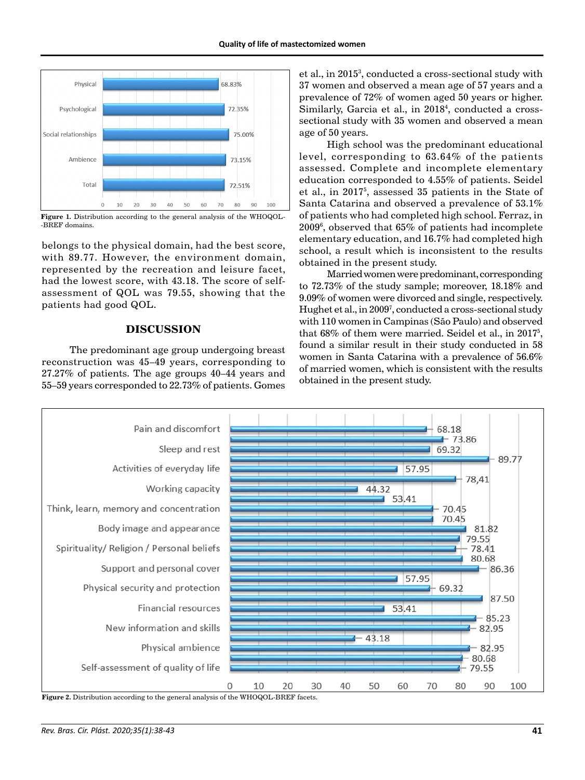

Figure 1. Distribution according to the general analysis of the WHOQOL--BREF domains.

belongs to the physical domain, had the best score, with 89.77. However, the environment domain, represented by the recreation and leisure facet, had the lowest score, with 43.18. The score of selfassessment of QOL was 79.55, showing that the patients had good QOL.

## **DISCUSSION**

The predominant age group undergoing breast reconstruction was 45–49 years, corresponding to 27.27% of patients. The age groups 40–44 years and 55–59 years corresponded to 22.73% of patients. Gomes

et al., in 2015<sup>3</sup>, conducted a cross-sectional study with 37 women and observed a mean age of 57 years and a prevalence of 72% of women aged 50 years or higher. Similarly, Garcia et al., in 2018<sup>4</sup>, conducted a crosssectional study with 35 women and observed a mean age of 50 years.

High school was the predominant educational level, corresponding to 63.64% of the patients assessed. Complete and incomplete elementary education corresponded to 4.55% of patients. Seidel et al., in 20175 , assessed 35 patients in the State of Santa Catarina and observed a prevalence of 53.1% of patients who had completed high school. Ferraz, in 20096 , observed that 65% of patients had incomplete elementary education, and 16.7% had completed high school, a result which is inconsistent to the results obtained in the present study.

Married women were predominant, corresponding to 72.73% of the study sample; moreover, 18.18% and 9.09% of women were divorced and single, respectively. Hughet et al., in 20097 , conducted a cross-sectional study with 110 women in Campinas (São Paulo) and observed that 68% of them were married. Seidel et al., in 20175 , found a similar result in their study conducted in 58 women in Santa Catarina with a prevalence of 56.6% of married women, which is consistent with the results obtained in the present study.



**Figure 2.** Distribution according to the general analysis of the WHOQOL-BREF facets.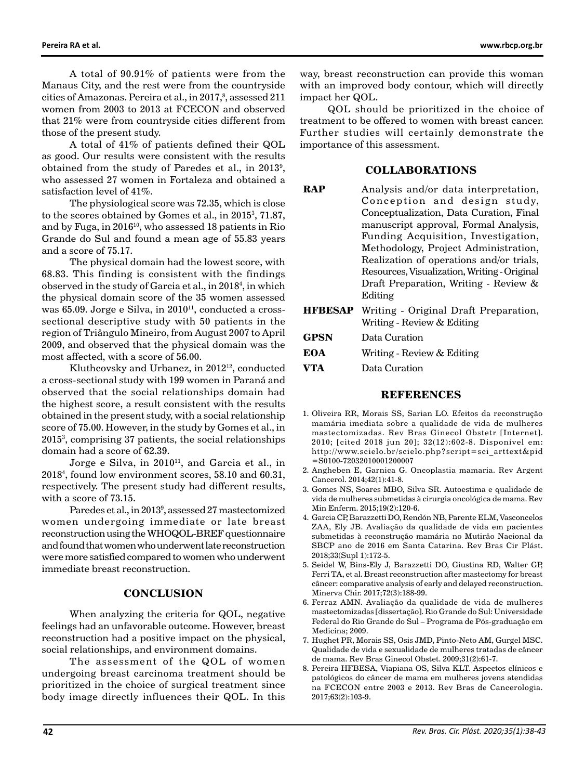A total of 90.91% of patients were from the Manaus City, and the rest were from the countryside cities of Amazonas. Pereira et al., in 2017, $^8$ , assessed 211 women from 2003 to 2013 at FCECON and observed that 21% were from countryside cities different from those of the present study.

A total of 41% of patients defined their QOL as good. Our results were consistent with the results obtained from the study of Paredes et al., in 2013<sup>9</sup>, who assessed 27 women in Fortaleza and obtained a satisfaction level of 41%.

The physiological score was 72.35, which is close to the scores obtained by Gomes et al., in 20153 , 71.87, and by Fuga, in  $2016^{10}$ , who assessed 18 patients in Rio Grande do Sul and found a mean age of 55.83 years and a score of 75.17.

The physical domain had the lowest score, with 68.83. This finding is consistent with the findings observed in the study of Garcia et al., in 20184 , in which the physical domain score of the 35 women assessed was 65.09. Jorge e Silva, in 2010<sup>11</sup>, conducted a crosssectional descriptive study with 50 patients in the region of Triângulo Mineiro, from August 2007 to April 2009, and observed that the physical domain was the most affected, with a score of 56.00.

Kluthcovsky and Urbanez, in 2012<sup>12</sup>, conducted a cross-sectional study with 199 women in Paraná and observed that the social relationships domain had the highest score, a result consistent with the results obtained in the present study, with a social relationship score of 75.00. However, in the study by Gomes et al., in 20153 , comprising 37 patients, the social relationships domain had a score of 62.39.

Jorge e Silva, in 2010<sup>11</sup>, and Garcia et al., in 20184 , found low environment scores, 58.10 and 60.31, respectively. The present study had different results, with a score of 73.15.

Paredes et al., in 20139 , assessed 27 mastectomized women undergoing immediate or late breast reconstruction using the WHOQOL-BREF questionnaire and found that women who underwent late reconstruction were more satisfied compared to women who underwent immediate breast reconstruction.

### **CONCLUSION**

When analyzing the criteria for QOL, negative feelings had an unfavorable outcome. However, breast reconstruction had a positive impact on the physical, social relationships, and environment domains.

The assessment of the QOL of women undergoing breast carcinoma treatment should be prioritized in the choice of surgical treatment since body image directly influences their QOL. In this way, breast reconstruction can provide this woman with an improved body contour, which will directly impact her QOL.

QOL should be prioritized in the choice of treatment to be offered to women with breast cancer. Further studies will certainly demonstrate the importance of this assessment.

### **COLLABORATIONS**

- **RAP** Analysis and/or data interpretation, Conception and design study, Conceptualization, Data Curation, Final manuscript approval, Formal Analysis, Funding Acquisition, Investigation, Methodology, Project Administration, Realization of operations and/or trials, Resources, Visualization, Writing - Original Draft Preparation, Writing - Review & Editing
- **HFBESAP** Writing Original Draft Preparation, Writing - Review & Editing
- **GPSN** Data Curation

| EOA | Writing - Review & Editing |  |  |
|-----|----------------------------|--|--|
|-----|----------------------------|--|--|

**VTA** Data Curation

### **REFERENCES**

- 1. Oliveira RR, Morais SS, Sarian LO. Efeitos da reconstrução mamária imediata sobre a qualidade de vida de mulheres mastectomizadas. Rev Bras Ginecol Obstetr [Internet]. 2010; [cited 2018 jun 20]; 32(12):602-8. Disponível em: [http://www.scielo.br/scielo.php?script=sci\\_arttext&pid](http://www.scielo.br/scielo.php?script=sci_arttext&pid=S0100-72032010001200007) [=S0100-72032010001200007](http://www.scielo.br/scielo.php?script=sci_arttext&pid=S0100-72032010001200007)
- 2. Angheben E, Garnica G. Oncoplastia mamaria. Rev Argent Cancerol. 2014;42(1):41-8.
- 3. Gomes NS, Soares MBO, Silva SR. Autoestima e qualidade de vida de mulheres submetidas à cirurgia oncológica de mama. Rev Min Enferm. 2015;19(2):120-6.
- 4. Garcia CP, Barazzetti DO, Rendón NB, Parente ELM, Vasconcelos ZAA, Ely JB. Avaliação da qualidade de vida em pacientes submetidas à reconstrução mamária no Mutirão Nacional da SBCP ano de 2016 em Santa Catarina. Rev Bras Cir Plást. 2018;33(Supl 1):172-5.
- 5. Seidel W, Bins-Ely J, Barazzetti DO, Giustina RD, Walter GP, Ferri TA, et al. Breast reconstruction after mastectomy for breast câncer: comparative analysis of early and delayed reconstruction. Minerva Chir. 2017;72(3):188-99.
- 6. Ferraz AMN. Avaliação da qualidade de vida de mulheres mastectomizadas [dissertação]. Rio Grande do Sul: Universidade Federal do Rio Grande do Sul – Programa de Pós-graduação em Medicina; 2009.
- 7. Hughet PR, Morais SS, Osis JMD, Pinto-Neto AM, Gurgel MSC. Qualidade de vida e sexualidade de mulheres tratadas de câncer de mama. Rev Bras Ginecol Obstet. 2009;31(2):61-7.
- 8. Pereira HFBESA, Viapiana OS, Silva KLT. Aspectos clínicos e patológicos do câncer de mama em mulheres jovens atendidas na FCECON entre 2003 e 2013. Rev Bras de Cancerologia. 2017;63(2):103-9.